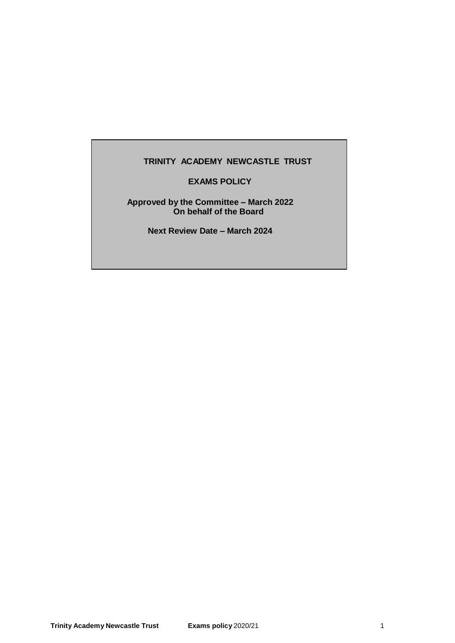# **TRINITY ACADEMY NEWCASTLE TRUST**

# **EXAMS POLICY**

#### **Approved by the Committee – March 2022 On behalf of the Board**

**Next Review Date – March 2024**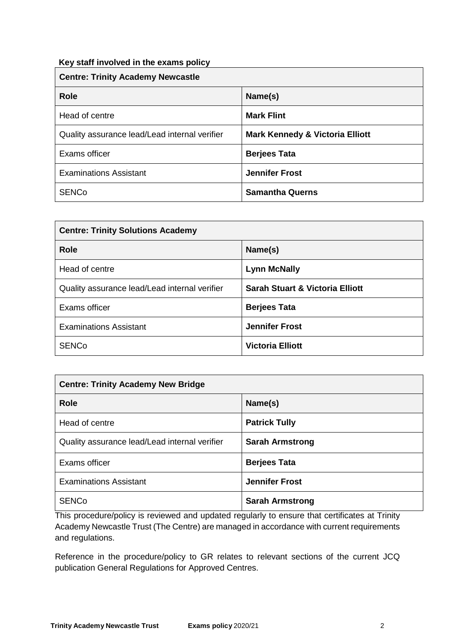# **Key staff involved in the exams policy**

| <b>Centre: Trinity Academy Newcastle</b>      |                                            |  |
|-----------------------------------------------|--------------------------------------------|--|
| <b>Role</b>                                   | Name(s)                                    |  |
| Head of centre                                | <b>Mark Flint</b>                          |  |
| Quality assurance lead/Lead internal verifier | <b>Mark Kennedy &amp; Victoria Elliott</b> |  |
| Exams officer                                 | <b>Berjees Tata</b>                        |  |
| <b>Examinations Assistant</b>                 | <b>Jennifer Frost</b>                      |  |
| <b>SENCo</b>                                  | <b>Samantha Querns</b>                     |  |

| <b>Centre: Trinity Solutions Academy</b>      |                                            |  |
|-----------------------------------------------|--------------------------------------------|--|
| <b>Role</b>                                   | Name(s)                                    |  |
| Head of centre                                | <b>Lynn McNally</b>                        |  |
| Quality assurance lead/Lead internal verifier | <b>Sarah Stuart &amp; Victoria Elliott</b> |  |
| Exams officer                                 | <b>Berjees Tata</b>                        |  |
| <b>Examinations Assistant</b>                 | <b>Jennifer Frost</b>                      |  |
| <b>SENCo</b>                                  | <b>Victoria Elliott</b>                    |  |

| <b>Centre: Trinity Academy New Bridge</b>     |                        |  |
|-----------------------------------------------|------------------------|--|
| <b>Role</b>                                   | Name(s)                |  |
| Head of centre                                | <b>Patrick Tully</b>   |  |
| Quality assurance lead/Lead internal verifier | <b>Sarah Armstrong</b> |  |
| Exams officer                                 | <b>Berjees Tata</b>    |  |
| <b>Examinations Assistant</b>                 | <b>Jennifer Frost</b>  |  |
| <b>SENCo</b>                                  | <b>Sarah Armstrong</b> |  |

This procedure/policy is reviewed and updated regularly to ensure that certificates at Trinity Academy Newcastle Trust (The Centre) are managed in accordance with current requirements and regulations.

Reference in the procedure/policy to GR relates to relevant sections of the current JCQ publication General Regulations for Approved Centres.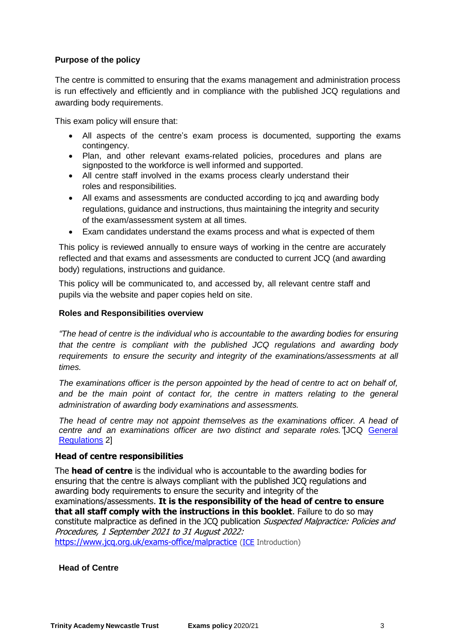# **Purpose of the policy**

The centre is committed to ensuring that the exams management and administration process is run effectively and efficiently and in compliance with the published JCQ regulations and awarding body requirements.

This exam policy will ensure that:

- All aspects of the centre's exam process is documented, supporting the exams contingency.
- Plan, and other relevant exams-related policies, procedures and plans are signposted to the workforce is well informed and supported.
- All centre staff involved in the exams process clearly understand their roles and responsibilities.
- All exams and assessments are conducted according to jcq and awarding body regulations, guidance and instructions, thus maintaining the integrity and security of the exam/assessment system at all times.
- Exam candidates understand the exams process and what is expected of them

This policy is reviewed annually to ensure ways of working in the centre are accurately reflected and that exams and assessments are conducted to current JCQ (and awarding body) regulations, instructions and guidance.

This policy will be communicated to, and accessed by, all relevant centre staff and pupils via the website and paper copies held on site.

# **Roles and Responsibilities overview**

*"The head of centre is the individual who is accountable to the awarding bodies for ensuring that the centre is compliant with the published JCQ regulations and awarding body requirements to ensure the security and integrity of the examinations/assessments at all times.*

*The examinations officer is the person appointed by the head of centre to act on behalf of, and be the main point of contact for, the centre in matters relating to the general administration of awarding body examinations and assessments.*

*The head of centre may not appoint themselves as the examinations officer. A head of centre and an examinations officer are two distinct and separate roles."*[JCQ [General](http://www.jcq.org.uk/exams-office/general-regulations)  [Regulations](http://www.jcq.org.uk/exams-office/general-regulations) 2]

# **Head of centre responsibilities**

The **head of centre** is the individual who is accountable to the awarding bodies for ensuring that the centre is always compliant with the published JCQ regulations and awarding body requirements to ensure the security and integrity of the examinations/assessments. **It is the responsibility of the head of centre to ensure that all staff comply with the instructions in this booklet**. Failure to do so may constitute malpractice as defined in the JCQ publication Suspected Malpractice: Policies and Procedures, 1 September 2021 to 31 August 2022: <https://www.jcq.org.uk/exams-office/malpractice> [\(ICE](http://www.jcq.org.uk/exams-office/ice---instructions-for-conducting-examinations) Introduction)

#### **Head of Centre**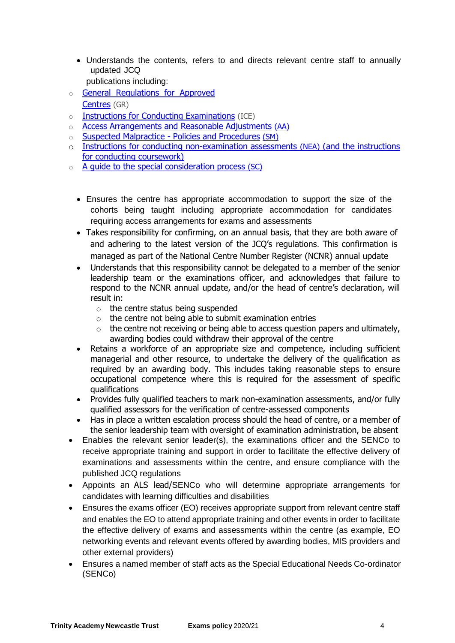- Understands the contents, refers to and directs relevant centre staff to annually updated JCQ
	- publications including:
- o **General Regulations for Approved** [Centres](http://www.jcq.org.uk/exams-office/general-regulations) (GR)
- o [Instructions for Conducting Examinations](http://www.jcq.org.uk/exams-office/ice---instructions-for-conducting-examinations) (ICE)
- o [Access Arrangements and Reasonable Adjustments](http://www.jcq.org.uk/exams-office/access-arrangements-and-special-consideration/regulations-and-guidance) (AA)
- o [Suspected Malpractice -](http://www.jcq.org.uk/exams-office/malpractice) Policies and Procedures (SM)
- o [Instructions for conducting non-examination assessments](http://www.jcq.org.uk/exams-office/non-examination-assessments) (NEA) (and the instructions for conducting coursework)
- o A quide to the special consideration process (SC)
	- Ensures the centre has appropriate accommodation to support the size of the cohorts being taught including appropriate accommodation for candidates requiring access arrangements for exams and assessments
	- Takes responsibility for confirming, on an annual basis, that they are both aware of and adhering to the latest version of the JCQ's regulations. This confirmation is managed as part of the National Centre Number Register (NCNR) annual update
	- Understands that this responsibility cannot be delegated to a member of the senior leadership team or the examinations officer, and acknowledges that failure to respond to the NCNR annual update, and/or the head of centre's declaration, will result in:
		- o the centre status being suspended
		- $\circ$  the centre not being able to submit examination entries
		- $\circ$  the centre not receiving or being able to access question papers and ultimately, awarding bodies could withdraw their approval of the centre
	- Retains a workforce of an appropriate size and competence, including sufficient managerial and other resource, to undertake the delivery of the qualification as required by an awarding body. This includes taking reasonable steps to ensure occupational competence where this is required for the assessment of specific qualifications
	- Provides fully qualified teachers to mark non-examination assessments, and/or fully qualified assessors for the verification of centre-assessed components
	- Has in place a written escalation process should the head of centre, or a member of the senior leadership team with oversight of examination administration, be absent
- Enables the relevant senior leader(s), the examinations officer and the SENCo to receive appropriate training and support in order to facilitate the effective delivery of examinations and assessments within the centre, and ensure compliance with the published JCQ regulations
- Appoints an ALS lead/SENCo who will determine appropriate arrangements for candidates with learning difficulties and disabilities
- Ensures the exams officer (EO) receives appropriate support from relevant centre staff and enables the EO to attend appropriate training and other events in order to facilitate the effective delivery of exams and assessments within the centre (as example, EO networking events and relevant events offered by awarding bodies, MIS providers and other external providers)
- Ensures a named member of staff acts as the Special Educational Needs Co-ordinator (SENCo)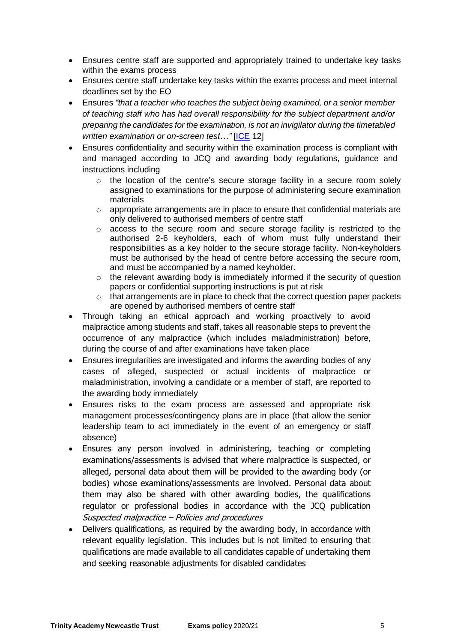- Ensures centre staff are supported and appropriately trained to undertake key tasks within the exams process
- Ensures centre staff undertake key tasks within the exams process and meet internal deadlines set by the EO
- Ensures *"that a teacher who teaches the subject being examined, or a senior member of teaching staff who has had overall responsibility for the subject department and/or preparing the candidates for the examination, is not an invigilator during the timetabled written examination or on-screen test…"* [\[ICE](http://www.jcq.org.uk/exams-office/ice---instructions-for-conducting-examinations) 12]
- Ensures confidentiality and security within the examination process is compliant with and managed according to JCQ and awarding body regulations, guidance and instructions including
	- $\circ$  the location of the centre's secure storage facility in a secure room solely assigned to examinations for the purpose of administering secure examination materials
	- $\circ$  appropriate arrangements are in place to ensure that confidential materials are only delivered to authorised members of centre staff
	- o access to the secure room and secure storage facility is restricted to the authorised 2-6 keyholders, each of whom must fully understand their responsibilities as a key holder to the secure storage facility. Non-keyholders must be authorised by the head of centre before accessing the secure room, and must be accompanied by a named keyholder.
	- o the relevant awarding body is immediately informed if the security of question papers or confidential supporting instructions is put at risk
	- o that arrangements are in place to check that the correct question paper packets are opened by authorised members of centre staff
- Through taking an ethical approach and working proactively to avoid malpractice among students and staff, takes all reasonable steps to prevent the occurrence of any malpractice (which includes maladministration) before, during the course of and after examinations have taken place
- Ensures irregularities are investigated and informs the awarding bodies of any cases of alleged, suspected or actual incidents of malpractice or maladministration, involving a candidate or a member of staff, are reported to the awarding body immediately
- Ensures risks to the exam process are assessed and appropriate risk management processes/contingency plans are in place (that allow the senior leadership team to act immediately in the event of an emergency or staff absence)
- Ensures any person involved in administering, teaching or completing examinations/assessments is advised that where malpractice is suspected, or alleged, personal data about them will be provided to the awarding body (or bodies) whose examinations/assessments are involved. Personal data about them may also be shared with other awarding bodies, the qualifications regulator or professional bodies in accordance with the JCQ publication Suspected malpractice – Policies and procedures
- Delivers qualifications, as required by the awarding body, in accordance with relevant equality legislation. This includes but is not limited to ensuring that qualifications are made available to all candidates capable of undertaking them and seeking reasonable adjustments for disabled candidates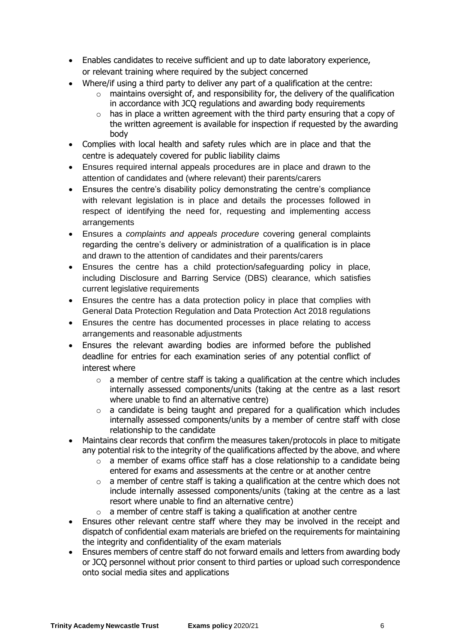- Enables candidates to receive sufficient and up to date laboratory experience, or relevant training where required by the subject concerned
- Where/if using a third party to deliver any part of a qualification at the centre:
	- $\circ$  maintains oversight of, and responsibility for, the delivery of the qualification in accordance with JCQ regulations and awarding body requirements
	- $\circ$  has in place a written agreement with the third party ensuring that a copy of the written agreement is available for inspection if requested by the awarding body
- Complies with local health and safety rules which are in place and that the centre is adequately covered for public liability claims
- Ensures required internal appeals procedures are in place and drawn to the attention of candidates and (where relevant) their parents/carers
- Ensures the centre's disability policy demonstrating the centre's compliance with relevant legislation is in place and details the processes followed in respect of identifying the need for, requesting and implementing access arrangements
- Ensures a *complaints and appeals procedure* covering general complaints regarding the centre's delivery or administration of a qualification is in place and drawn to the attention of candidates and their parents/carers
- Ensures the centre has a child protection/safeguarding policy in place, including Disclosure and Barring Service (DBS) clearance, which satisfies current legislative requirements
- Ensures the centre has a data protection policy in place that complies with General Data Protection Regulation and Data Protection Act 2018 regulations
- Ensures the centre has documented processes in place relating to access arrangements and reasonable adjustments
- Ensures the relevant awarding bodies are informed before the published deadline for entries for each examination series of any potential conflict of interest where
	- $\circ$  a member of centre staff is taking a qualification at the centre which includes internally assessed components/units (taking at the centre as a last resort where unable to find an alternative centre)
	- o a candidate is being taught and prepared for a qualification which includes internally assessed components/units by a member of centre staff with close relationship to the candidate
- Maintains clear records that confirm the measures taken/protocols in place to mitigate any potential risk to the integrity of the qualifications affected by the above, and where
	- o a member of exams office staff has a close relationship to a candidate being entered for exams and assessments at the centre or at another centre
	- $\circ$  a member of centre staff is taking a qualification at the centre which does not include internally assessed components/units (taking at the centre as a last resort where unable to find an alternative centre)
	- $\circ$  a member of centre staff is taking a qualification at another centre
- Ensures other relevant centre staff where they may be involved in the receipt and dispatch of confidential exam materials are briefed on the requirements for maintaining the integrity and confidentiality of the exam materials
- Ensures members of centre staff do not forward emails and letters from awarding body or JCQ personnel without prior consent to third parties or upload such correspondence onto social media sites and applications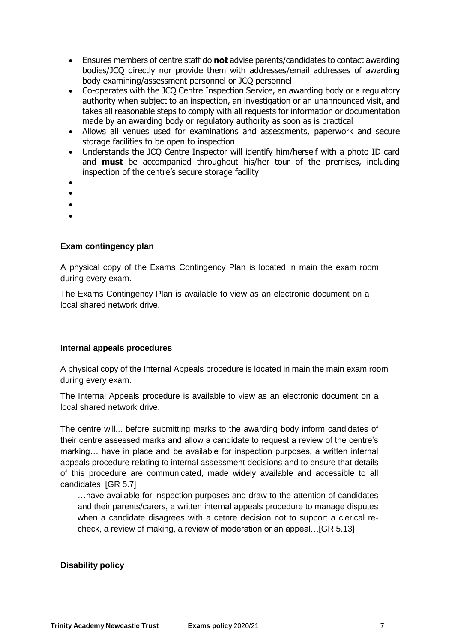- Ensures members of centre staff do **not** advise parents/candidates to contact awarding bodies/JCQ directly nor provide them with addresses/email addresses of awarding body examining/assessment personnel or JCQ personnel
- Co-operates with the JCQ Centre Inspection Service, an awarding body or a regulatory authority when subject to an inspection, an investigation or an unannounced visit, and takes all reasonable steps to comply with all requests for information or documentation made by an awarding body or regulatory authority as soon as is practical
- Allows all venues used for examinations and assessments, paperwork and secure storage facilities to be open to inspection
- Understands the JCQ Centre Inspector will identify him/herself with a photo ID card and **must** be accompanied throughout his/her tour of the premises, including inspection of the centre's secure storage facility
- $\bullet$
- $\bullet$
- $\bullet$
- $\bullet$

# **Exam contingency plan**

A physical copy of the Exams Contingency Plan is located in main the exam room during every exam.

The Exams Contingency Plan is available to view as an electronic document on a local shared network drive.

# **Internal appeals procedures**

A physical copy of the Internal Appeals procedure is located in main the main exam room during every exam.

The Internal Appeals procedure is available to view as an electronic document on a local shared network drive.

The centre will... before submitting marks to the awarding body inform candidates of their centre assessed marks and allow a candidate to request a review of the centre's marking… have in place and be available for inspection purposes, a written internal appeals procedure relating to internal assessment decisions and to ensure that details of this procedure are communicated, made widely available and accessible to all candidates [\[GR](http://www.jcq.org.uk/exams-office/general-regulations) 5.7]

…have available for inspection purposes and draw to the attention of candidates and their parents/carers, a written internal appeals procedure to manage disputes when a candidate disagrees with a cetnre decision not to support a clerical recheck, a review of making, a review of moderation or an appeal…[\[GR](http://www.jcq.org.uk/exams-office/general-regulations) 5.13]

# **Disability policy**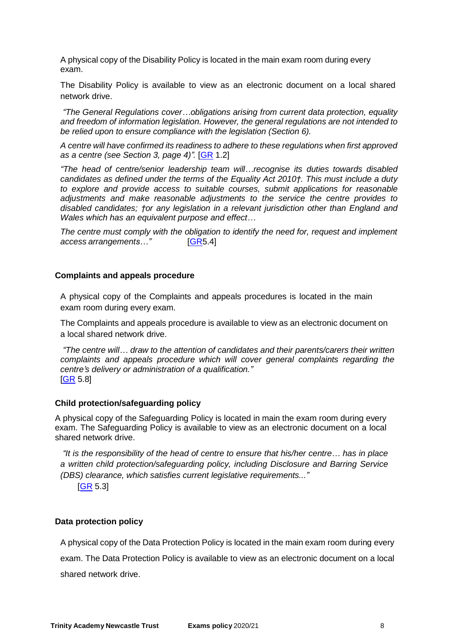A physical copy of the Disability Policy is located in the main exam room during every exam.

The Disability Policy is available to view as an electronic document on a local shared network drive.

*"The General Regulations cover…obligations arising from current data protection, equality and freedom of information legislation. However, the general regulations are not intended to be relied upon to ensure compliance with the legislation (Section 6).*

*A centre will have confirmed its readiness to adhere to these regulations when first approved as a centre (see Section 3, page 4)".* [\[GR](http://www.jcq.org.uk/exams-office/general-regulations) 1.2]

*"The head of centre/senior leadership team will…recognise its duties towards disabled candidates as defined under the terms of the Equality Act 2010†. This must include a duty to explore and provide access to suitable courses, submit applications for reasonable adjustments and make reasonable adjustments to the service the centre provides to disabled candidates; †or any legislation in a relevant jurisdiction other than England and Wales which has an equivalent purpose and effect…*

*The centre must comply with the obligation to identify the need for, request and implement access arrangements…"* [\[GR5](http://www.jcq.org.uk/exams-office/general-regulations).4]

#### **Complaints and appeals procedure**

A physical copy of the Complaints and appeals procedures is located in the main exam room during every exam.

The Complaints and appeals procedure is available to view as an electronic document on a local shared network drive.

*"The centre will… draw to the attention of candidates and their parents/carers their written complaints and appeals procedure which will cover general complaints regarding the centre's delivery or administration of a qualification."* [\[GR](http://www.jcq.org.uk/exams-office/general-regulations) 5.8]

#### **Child protection/safeguarding policy**

A physical copy of the Safeguarding Policy is located in main the exam room during every exam. The Safeguarding Policy is available to view as an electronic document on a local shared network drive.

*"It is the responsibility of the head of centre to ensure that his/her centre… has in place a written child protection/safeguarding policy, including Disclosure and Barring Service (DBS) clearance, which satisfies current legislative requirements..."*

[\[GR](http://www.jcq.org.uk/exams-office/general-regulations) 5.3]

#### **Data protection policy**

A physical copy of the Data Protection Policy is located in the main exam room during every exam. The Data Protection Policy is available to view as an electronic document on a local shared network drive.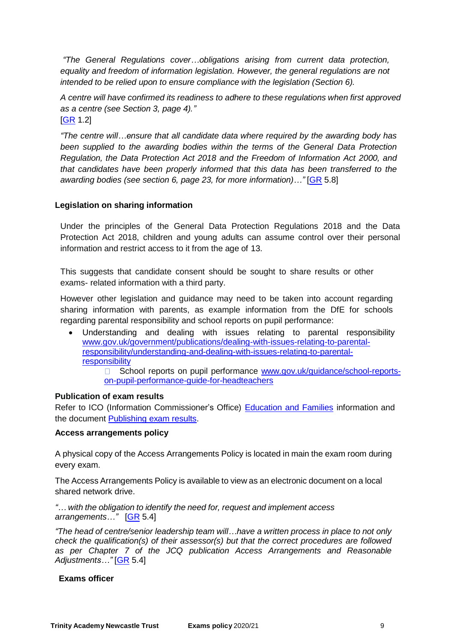*"The General Regulations cover…obligations arising from current data protection, equality and freedom of information legislation. However, the general regulations are not intended to be relied upon to ensure compliance with the legislation (Section 6).*

*A centre will have confirmed its readiness to adhere to these regulations when first approved as a centre (see Section 3, page 4)."*  $[GR 1.2]$  $[GR 1.2]$ 

*"The centre will…ensure that all candidate data where required by the awarding body has been supplied to the awarding bodies within the terms of the General Data Protection Regulation, the Data Protection Act 2018 and the Freedom of Information Act 2000, and that candidates have been properly informed that this data has been transferred to the awarding bodies (see section 6, page 23, for more information)…"* [\[GR](http://www.jcq.org.uk/exams-office/general-regulations) 5.8]

# **Legislation on sharing information**

Under the principles of the General Data Protection Regulations 2018 and the Data Protection Act 2018, children and young adults can assume control over their personal information and restrict access to it from the age of 13.

This suggests that candidate consent should be sought to share results or other exams- related information with a third party.

However other legislation and guidance may need to be taken into account regarding sharing information with parents, as example information from the DfE for schools regarding parental responsibility and school reports on pupil performance:

 Understanding and dealing with issues relating to parental responsibility [www.gov.uk/government/publications/dealing-with-issues-relating-to-parental](https://www.gov.uk/government/publications/dealing-with-issues-relating-to-parental-responsibility/understanding-and-dealing-with-issues-relating-to-parental-responsibility)[responsibility/understanding-and-dealing-with-issues-relating-to-parental](https://www.gov.uk/government/publications/dealing-with-issues-relating-to-parental-responsibility/understanding-and-dealing-with-issues-relating-to-parental-responsibility)[responsibility](https://www.gov.uk/government/publications/dealing-with-issues-relating-to-parental-responsibility/understanding-and-dealing-with-issues-relating-to-parental-responsibility)

□ School reports on pupil performance [www.gov.uk/guidance/school-reports](https://www.gov.uk/guidance/school-reports-on-pupil-performance-guide-for-headteachers)[on-pupil-performance-guide-for-headteachers](https://www.gov.uk/guidance/school-reports-on-pupil-performance-guide-for-headteachers)

# **Publication of exam results**

Refer to ICO (Information Commissioner's Office) [Education and Families](https://ico.org.uk/for-organisations/education/) information and the document **Publishing exam results**.

# **Access arrangements policy**

A physical copy of the Access Arrangements Policy is located in main the exam room during every exam.

The Access Arrangements Policy is available to view as an electronic document on a local shared network drive.

*"… with the obligation to identify the need for, request and implement access arrangements…"* [\[GR](http://www.jcq.org.uk/exams-office/general-regulations) 5.4]

*"The head of centre/senior leadership team will…have a written process in place to not only check the qualification(s) of their assessor(s) but that the correct procedures are followed as per Chapter 7 of the JCQ publication Access Arrangements and Reasonable Adjustments…"* [\[GR](http://www.jcq.org.uk/exams-office/general-regulations) 5.4]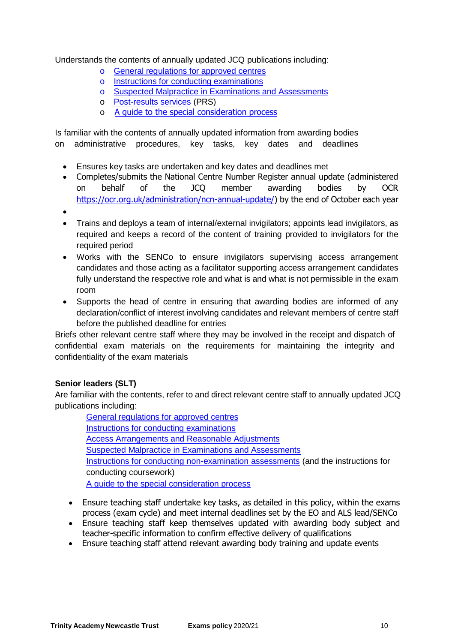Understands the contents of annually updated JCQ publications including:

- o General regulations for [approved centres](http://www.jcq.org.uk/exams-office/general-regulations)
- o Instructions for [conducting examinations](http://www.jcq.org.uk/exams-office/ice---instructions-for-conducting-examinations)
- o Suspected [Malpractice in Examinations and Assessments](http://www.jcq.org.uk/exams-office/malpractice)
- o [Post-results](http://www.jcq.org.uk/exams-office/post-results-services) services (PRS)
- o [A guide to the special consideration process](https://www.jcq.org.uk/exams-office/access-arrangements-and-special-consideration/regulations-and-guidance/)

Is familiar with the contents of annually updated information from awarding bodies on administrative procedures, key tasks, key dates and deadlines

- Ensures key tasks are undertaken and key dates and deadlines met
- Completes/submits the National Centre Number Register annual update (administered on behalf of the JCQ member awarding bodies by OCR [https://ocr.org.uk/administration/ncn-annual-update/\)](https://ocr.org.uk/administration/ncn-annual-update/) by the end of October each year
- $\bullet$
- Trains and deploys a team of internal/external invigilators; appoints lead invigilators, as required and keeps a record of the content of training provided to invigilators for the required period
- Works with the SENCo to ensure invigilators supervising access arrangement candidates and those acting as a facilitator supporting access arrangement candidates fully understand the respective role and what is and what is not permissible in the exam room
- Supports the head of centre in ensuring that awarding bodies are informed of any declaration/conflict of interest involving candidates and relevant members of centre staff before the published deadline for entries

Briefs other relevant centre staff where they may be involved in the receipt and dispatch of confidential exam materials on the requirements for maintaining the integrity and confidentiality of the exam materials

# **Senior leaders (SLT)**

Are familiar with the contents, refer to and direct relevant centre staff to annually updated JCQ publications including:

General regulations for [approved centres](http://www.jcq.org.uk/exams-office/general-regulations) Instructions for [conducting examinations](http://www.jcq.org.uk/exams-office/ice---instructions-for-conducting-examinations) Access Arrangements [and Reasonable Adjustments](http://www.jcq.org.uk/exams-office/access-arrangements-and-special-consideration/regulations-and-guidance) Suspected [Malpractice in Examinations and Assessments](http://www.jcq.org.uk/exams-office/malpractice) Instructions for [conducting non-examination assessments](http://www.jcq.org.uk/exams-office/non-examination-assessments) (and the instructions for conducting coursework) [A guide to the special consideration process](http://www.jcq.org.uk/exams-office/access-arrangements-and-special-consideration/regulations-and-guidance)

- Ensure teaching staff undertake key tasks, as detailed in this policy, within the exams process (exam cycle) and meet internal deadlines set by the EO and ALS lead/SENCo
- Ensure teaching staff keep themselves updated with awarding body subject and teacher-specific information to confirm effective delivery of qualifications
- Ensure teaching staff attend relevant awarding body training and update events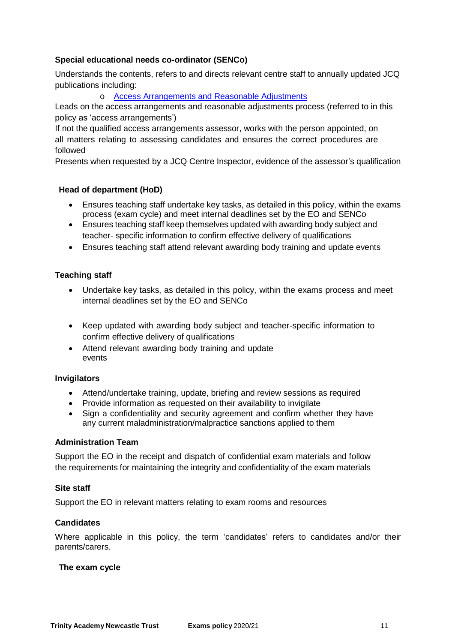# **Special educational needs co-ordinator (SENCo)**

Understands the contents, refers to and directs relevant centre staff to annually updated JCQ publications including:

o Access Arrangements [and Reasonable Adjustments](http://www.jcq.org.uk/exams-office/access-arrangements-and-special-consideration/regulations-and-guidance)

Leads on the access arrangements and reasonable adjustments process (referred to in this policy as 'access arrangements')

If not the qualified access arrangements assessor, works with the person appointed, on all matters relating to assessing candidates and ensures the correct procedures are followed

Presents when requested by a JCQ Centre Inspector, evidence of the assessor's qualification

# **Head of department (HoD)**

- Ensures teaching staff undertake key tasks, as detailed in this policy, within the exams process (exam cycle) and meet internal deadlines set by the EO and SENCo
- Ensures teaching staff keep themselves updated with awarding body subject and teacher- specific information to confirm effective delivery of qualifications
- Ensures teaching staff attend relevant awarding body training and update events

# **Teaching staff**

- Undertake key tasks, as detailed in this policy, within the exams process and meet internal deadlines set by the EO and SENCo
- Keep updated with awarding body subject and teacher-specific information to confirm effective delivery of qualifications
- Attend relevant awarding body training and update events

# **Invigilators**

- Attend/undertake training, update, briefing and review sessions as required
- Provide information as requested on their availability to invigilate
- Sign a confidentiality and security agreement and confirm whether they have any current maladministration/malpractice sanctions applied to them

#### **Administration Team**

Support the EO in the receipt and dispatch of confidential exam materials and follow the requirements for maintaining the integrity and confidentiality of the exam materials

#### **Site staff**

Support the EO in relevant matters relating to exam rooms and resources

# **Candidates**

Where applicable in this policy, the term 'candidates' refers to candidates and/or their parents/carers.

#### **The exam cycle**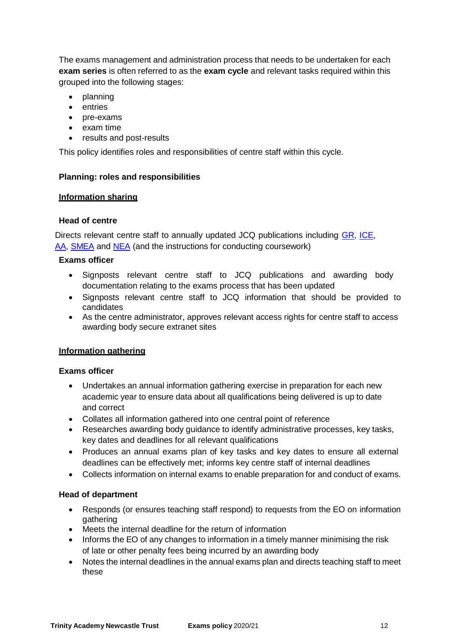The exams management and administration process that needs to be undertaken for each **exam series** is often referred to as the **exam cycle** and relevant tasks required within this grouped into the following stages:

- planning
- entries
- pre-exams
- exam time
- results and post-results

This policy identifies roles and responsibilities of centre staff within this cycle.

# **Planning: roles and responsibilities**

# **Information sharing**

# **Head of centre**

Directs relevant centre staff to annually updated JCQ publications including [GR,](http://www.jcq.org.uk/exams-office/general-regulations) [ICE,](http://www.jcq.org.uk/exams-office/ice---instructions-for-conducting-examinations) [AA,](http://www.jcq.org.uk/exams-office/access-arrangements-and-special-consideration) [SMEA](http://www.jcq.org.uk/exams-office/malpractice) and [NEA](http://www.jcq.org.uk/exams-office/non-examination-assessments) (and the instructions for conducting coursework)

# **Exams officer**

- Signposts relevant centre staff to JCQ publications and awarding body documentation relating to the exams process that has been updated
- Signposts relevant centre staff to JCQ information that should be provided to candidates
- As the centre administrator, approves relevant access rights for centre staff to access awarding body secure extranet sites

# **Information gathering**

# **Exams officer**

- Undertakes an annual information gathering exercise in preparation for each new academic year to ensure data about all qualifications being delivered is up to date and correct
- Collates all information gathered into one central point of reference
- Researches awarding body guidance to identify administrative processes, key tasks, key dates and deadlines for all relevant qualifications
- Produces an annual exams plan of key tasks and key dates to ensure all external deadlines can be effectively met; informs key centre staff of internal deadlines
- Collects information on internal exams to enable preparation for and conduct of exams.

# **Head of department**

- Responds (or ensures teaching staff respond) to requests from the EO on information gathering
- Meets the internal deadline for the return of information
- Informs the EO of any changes to information in a timely manner minimising the risk of late or other penalty fees being incurred by an awarding body
- Notes the internal deadlines in the annual exams plan and directs teaching staff to meet these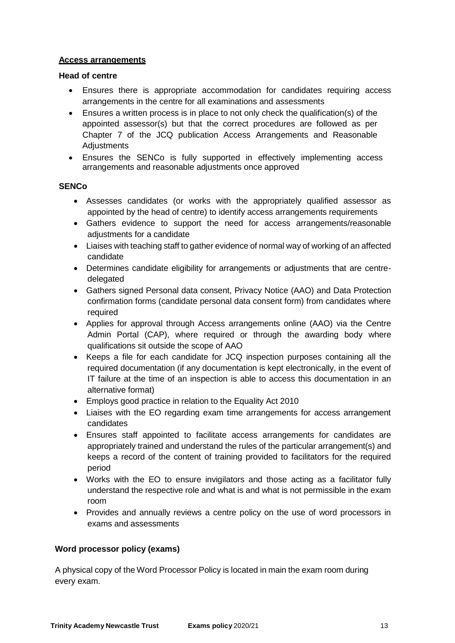# **Access arrangements**

#### **Head of centre**

- Ensures there is appropriate accommodation for candidates requiring access arrangements in the centre for all examinations and assessments
- Ensures a written process is in place to not only check the qualification(s) of the appointed assessor(s) but that the correct procedures are followed as per Chapter 7 of the JCQ publication Access Arrangements and Reasonable Adjustments
- Ensures the SENCo is fully supported in effectively implementing access arrangements and reasonable adjustments once approved

# **SENCo**

- Assesses candidates (or works with the appropriately qualified assessor as appointed by the head of centre) to identify access arrangements requirements
- Gathers evidence to support the need for access arrangements/reasonable adjustments for a candidate
- Liaises with teaching staff to gather evidence of normal way of working of an affected candidate
- Determines candidate eligibility for arrangements or adjustments that are centredelegated
- Gathers signed Personal data consent, Privacy Notice (AAO) and Data Protection confirmation forms (candidate personal data consent form) from candidates where required
- Applies for approval through Access arrangements online (AAO) via the Centre Admin Portal (CAP), where required or through the awarding body where qualifications sit outside the scope of AAO
- Keeps a file for each candidate for JCQ inspection purposes containing all the required documentation (if any documentation is kept electronically, in the event of IT failure at the time of an inspection is able to access this documentation in an alternative format)
- Employs good practice in relation to the Equality Act 2010
- Liaises with the EO regarding exam time arrangements for access arrangement candidates
- Ensures staff appointed to facilitate access arrangements for candidates are appropriately trained and understand the rules of the particular arrangement(s) and keeps a record of the content of training provided to facilitators for the required period
- Works with the EO to ensure invigilators and those acting as a facilitator fully understand the respective role and what is and what is not permissible in the exam room
- Provides and annually reviews a centre policy on the use of word processors in exams and assessments

# **Word processor policy (exams)**

A physical copy of the Word Processor Policy is located in main the exam room during every exam.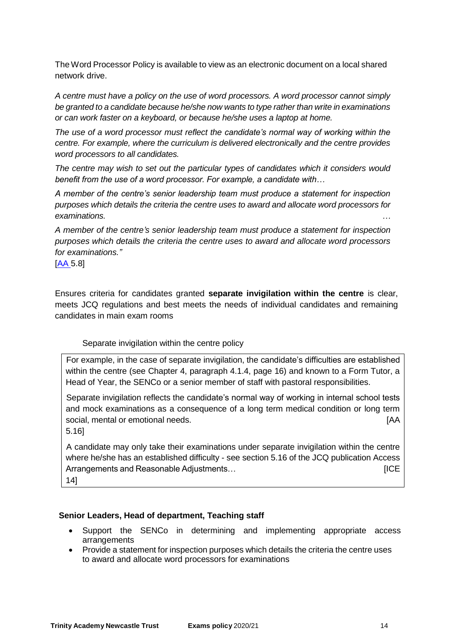The Word Processor Policy is available to view as an electronic document on a local shared network drive.

*A centre must have a policy on the use of word processors. A word processor cannot simply be granted to a candidate because he/she now wants to type rather than write in examinations or can work faster on a keyboard, or because he/she uses a laptop at home.* 

*The use of a word processor must reflect the candidate's normal way of working within the centre. For example, where the curriculum is delivered electronically and the centre provides word processors to all candidates.* 

*The centre may wish to set out the particular types of candidates which it considers would benefit from the use of a word processor. For example, a candidate with…*

*A member of the centre's senior leadership team must produce a statement for inspection purposes which details the criteria the centre uses to award and allocate word processors for examinations. …*

*A member of the centre's senior leadership team must produce a statement for inspection purposes which details the criteria the centre uses to award and allocate word processors for examinations."*

[\[AA](http://www.jcq.org.uk/exams-office/access-arrangements-and-special-consideration) 5.8]

Ensures criteria for candidates granted **separate invigilation within the centre** is clear, meets JCQ regulations and best meets the needs of individual candidates and remaining candidates in main exam rooms

# Separate invigilation within the centre policy

For example, in the case of separate invigilation, the candidate's difficulties are established within the centre (see Chapter 4, paragraph 4.1.4, page 16) and known to a Form Tutor, a Head of Year, the SENCo or a senior member of staff with pastoral responsibilities.

Separate invigilation reflects the candidate's normal way of working in internal school tests and mock examinations as a consequence of a long term medical condition or long term social, mental or emotional needs. **Example 20** is a social, mental or emotional needs.

5.16]

A candidate may only take their examinations under separate invigilation within the centre where he/she has an established difficulty - see section 5.16 of the JCQ publication Access Arrangements and Reasonable Adjustments… **Example 20** in the settlement of the settlement of the set

14]

# **Senior Leaders, Head of department, Teaching staff**

- Support the SENCo in determining and implementing appropriate access arrangements
- Provide a statement for inspection purposes which details the criteria the centre uses to award and allocate word processors for examinations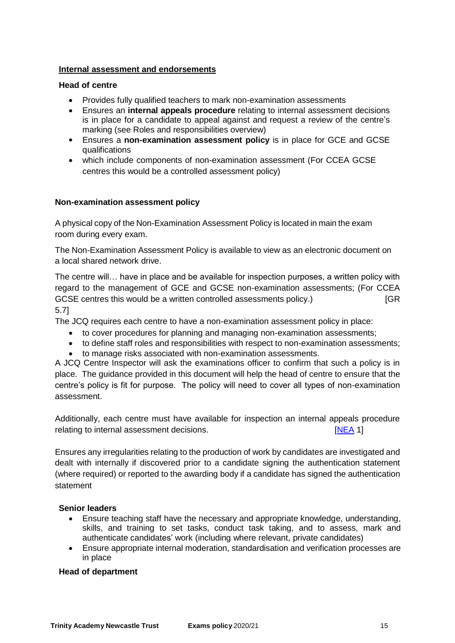# **Internal assessment and endorsements**

#### **Head of centre**

- Provides fully qualified teachers to mark non-examination assessments
- Ensures an **internal appeals procedure** relating to internal assessment decisions is in place for a candidate to appeal against and request a review of the centre's marking (see Roles and responsibilities overview)
- Ensures a **non-examination assessment policy** is in place for GCE and GCSE qualifications
- which include components of non-examination assessment (For CCEA GCSE centres this would be a controlled assessment policy)

# **Non-examination assessment policy**

A physical copy of the Non-Examination Assessment Policy is located in main the exam room during every exam.

The Non-Examination Assessment Policy is available to view as an electronic document on a local shared network drive.

The centre will… have in place and be available for inspection purposes, a written policy with regard to the management of GCE and GCSE non-examination assessments; (For CCEA GCSE centres this would be a written controlled assessments policy.) [GR 5.7]

The JCQ requires each centre to have a non-examination assessment policy in place:

- to cover procedures for planning and managing non-examination assessments;
- to define staff roles and responsibilities with respect to non-examination assessments;
- to manage risks associated with non-examination assessments.

A JCQ Centre Inspector will ask the examinations officer to confirm that such a policy is in place. The guidance provided in this document will help the head of centre to ensure that the centre's policy is fit for purpose. The policy will need to cover all types of non-examination assessment.

Additionally, each centre must have available for inspection an internal appeals procedure relating to internal assessment decisions. The same state of the state of the state of the state of the state o

Ensures any irregularities relating to the production of work by candidates are investigated and dealt with internally if discovered prior to a candidate signing the authentication statement (where required) or reported to the awarding body if a candidate has signed the authentication statement

# **Senior leaders**

- Ensure teaching staff have the necessary and appropriate knowledge, understanding, skills, and training to set tasks, conduct task taking, and to assess, mark and authenticate candidates' work (including where relevant, private candidates)
- Ensure appropriate internal moderation, standardisation and verification processes are in place

#### **Head of department**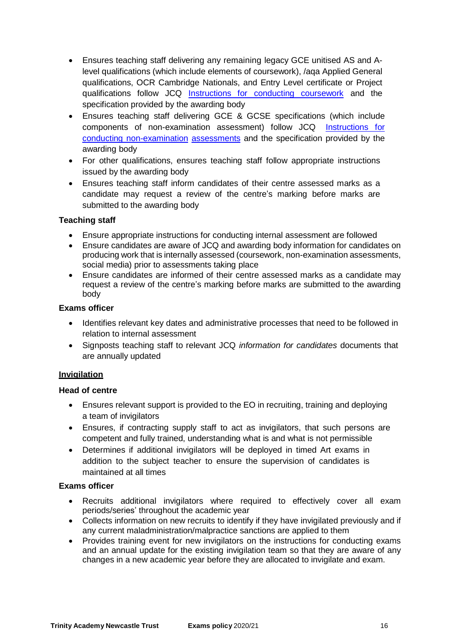- Ensures teaching staff delivering any remaining legacy GCE unitised AS and Alevel qualifications (which include elements of coursework), /aqa Applied General qualifications, OCR Cambridge Nationals, and Entry Level certificate or Project qualifications follow JCQ Instructions for [conducting coursework](http://www.jcq.org.uk/exams-office/coursework) and the specification provided by the awarding body
- Ensures teaching staff delivering GCE & GCSE specifications (which include components of non-examination assessment) follow JCQ [Instructions](http://www.jcq.org.uk/exams-office/non-examination-assessments) for [conducting non-examination](http://www.jcq.org.uk/exams-office/non-examination-assessments) [assessments](http://www.jcq.org.uk/exams-office/non-examination-assessments) and the specification provided by the awarding body
- For other qualifications, ensures teaching staff follow appropriate instructions issued by the awarding body
- Ensures teaching staff inform candidates of their centre assessed marks as a candidate may request a review of the centre's marking before marks are submitted to the awarding body

# **Teaching staff**

- Ensure appropriate instructions for conducting internal assessment are followed
- Ensure candidates are aware of JCQ and awarding body information for candidates on producing work that is internally assessed (coursework, non-examination assessments, social media) prior to assessments taking place
- Ensure candidates are informed of their centre assessed marks as a candidate may request a review of the centre's marking before marks are submitted to the awarding body

# **Exams officer**

- Identifies relevant key dates and administrative processes that need to be followed in relation to internal assessment
- Signposts teaching staff to relevant JCQ *information for candidates* documents that are annually updated

# **Invigilation**

# **Head of centre**

- Ensures relevant support is provided to the EO in recruiting, training and deploying a team of invigilators
- Ensures, if contracting supply staff to act as invigilators, that such persons are competent and fully trained, understanding what is and what is not permissible
- Determines if additional invigilators will be deployed in timed Art exams in addition to the subject teacher to ensure the supervision of candidates is maintained at all times

- Recruits additional invigilators where required to effectively cover all exam periods/series' throughout the academic year
- Collects information on new recruits to identify if they have invigilated previously and if any current maladministration/malpractice sanctions are applied to them
- Provides training event for new invigilators on the instructions for conducting exams and an annual update for the existing invigilation team so that they are aware of any changes in a new academic year before they are allocated to invigilate and exam.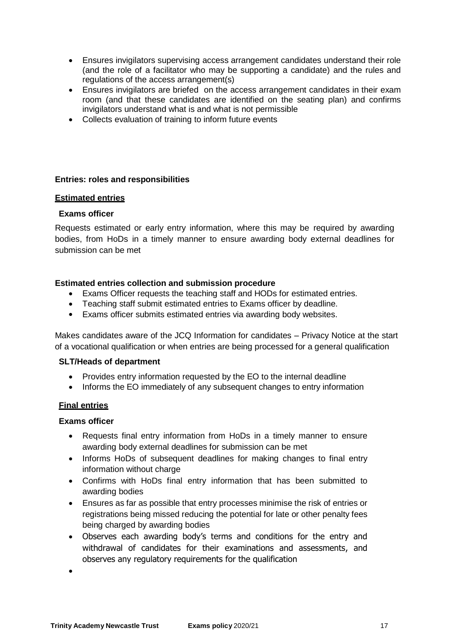- Ensures invigilators supervising access arrangement candidates understand their role (and the role of a facilitator who may be supporting a candidate) and the rules and regulations of the access arrangement(s)
- Ensures invigilators are briefed on the access arrangement candidates in their exam room (and that these candidates are identified on the seating plan) and confirms invigilators understand what is and what is not permissible
- Collects evaluation of training to inform future events

# **Entries: roles and responsibilities**

#### **Estimated entries**

#### **Exams officer**

Requests estimated or early entry information, where this may be required by awarding bodies, from HoDs in a timely manner to ensure awarding body external deadlines for submission can be met

#### **Estimated entries collection and submission procedure**

- Exams Officer requests the teaching staff and HODs for estimated entries.
- Teaching staff submit estimated entries to Exams officer by deadline.
- Exams officer submits estimated entries via awarding body websites.

Makes candidates aware of the JCQ Information for candidates – Privacy Notice at the start of a vocational qualification or when entries are being processed for a general qualification

#### **SLT/Heads of department**

- Provides entry information requested by the EO to the internal deadline
- Informs the EO immediately of any subsequent changes to entry information

# **Final entries**

# **Exams officer**

- Requests final entry information from HoDs in a timely manner to ensure awarding body external deadlines for submission can be met
- Informs HoDs of subsequent deadlines for making changes to final entry information without charge
- Confirms with HoDs final entry information that has been submitted to awarding bodies
- Ensures as far as possible that entry processes minimise the risk of entries or registrations being missed reducing the potential for late or other penalty fees being charged by awarding bodies
- Observes each awarding body's terms and conditions for the entry and withdrawal of candidates for their examinations and assessments, and observes any regulatory requirements for the qualification

 $\bullet$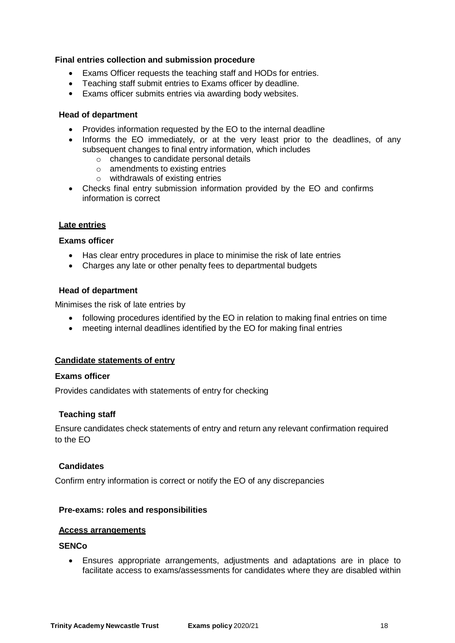# **Final entries collection and submission procedure**

- Exams Officer requests the teaching staff and HODs for entries.
- Teaching staff submit entries to Exams officer by deadline.
- Exams officer submits entries via awarding body websites.

#### **Head of department**

- Provides information requested by the EO to the internal deadline
- Informs the EO immediately, or at the very least prior to the deadlines, of any subsequent changes to final entry information, which includes
	- o changes to candidate personal details
	- o amendments to existing entries
	- o withdrawals of existing entries
- Checks final entry submission information provided by the EO and confirms information is correct

#### **Late entries**

#### **Exams officer**

- Has clear entry procedures in place to minimise the risk of late entries
- Charges any late or other penalty fees to departmental budgets

#### **Head of department**

Minimises the risk of late entries by

- following procedures identified by the EO in relation to making final entries on time
- meeting internal deadlines identified by the EO for making final entries

#### **Candidate statements of entry**

#### **Exams officer**

Provides candidates with statements of entry for checking

# **Teaching staff**

Ensure candidates check statements of entry and return any relevant confirmation required to the EO

#### **Candidates**

Confirm entry information is correct or notify the EO of any discrepancies

#### **Pre-exams: roles and responsibilities**

#### **Access arrangements**

#### **SENCo**

 Ensures appropriate arrangements, adjustments and adaptations are in place to facilitate access to exams/assessments for candidates where they are disabled within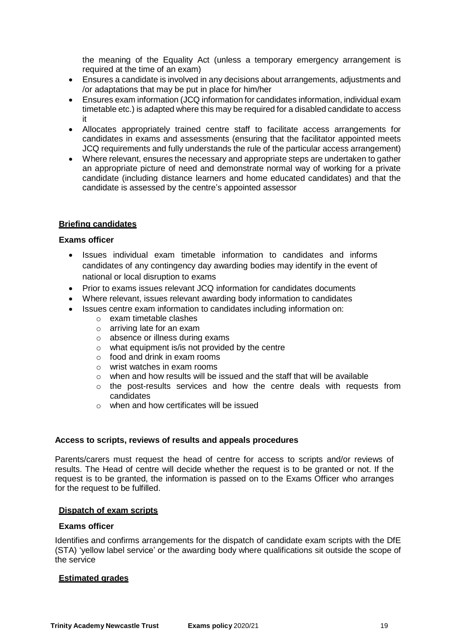the meaning of the Equality Act (unless a temporary emergency arrangement is required at the time of an exam)

- Ensures a candidate is involved in any decisions about arrangements, adjustments and /or adaptations that may be put in place for him/her
- Ensures exam information (JCQ information for candidates information, individual exam timetable etc.) is adapted where this may be required for a disabled candidate to access it
- Allocates appropriately trained centre staff to facilitate access arrangements for candidates in exams and assessments (ensuring that the facilitator appointed meets JCQ requirements and fully understands the rule of the particular access arrangement)
- Where relevant, ensures the necessary and appropriate steps are undertaken to gather an appropriate picture of need and demonstrate normal way of working for a private candidate (including distance learners and home educated candidates) and that the candidate is assessed by the centre's appointed assessor

# **Briefing candidates**

#### **Exams officer**

- Issues individual exam timetable information to candidates and informs candidates of any contingency day awarding bodies may identify in the event of national or local disruption to exams
- Prior to exams issues relevant JCQ information for candidates documents
- Where relevant, issues relevant awarding body information to candidates
- Issues centre exam information to candidates including information on:
	- o exam timetable clashes
	- o arriving late for an exam
	- o absence or illness during exams
	- o what equipment is/is not provided by the centre
	- o food and drink in exam rooms
	- o wrist watches in exam rooms
	- o when and how results will be issued and the staff that will be available
	- $\circ$  the post-results services and how the centre deals with requests from candidates
	- o when and how certificates will be issued

# **Access to scripts, reviews of results and appeals procedures**

Parents/carers must request the head of centre for access to scripts and/or reviews of results. The Head of centre will decide whether the request is to be granted or not. If the request is to be granted, the information is passed on to the Exams Officer who arranges for the request to be fulfilled.

#### **Dispatch of exam scripts**

#### **Exams officer**

Identifies and confirms arrangements for the dispatch of candidate exam scripts with the DfE (STA) 'yellow label service' or the awarding body where qualifications sit outside the scope of the service

#### **Estimated grades**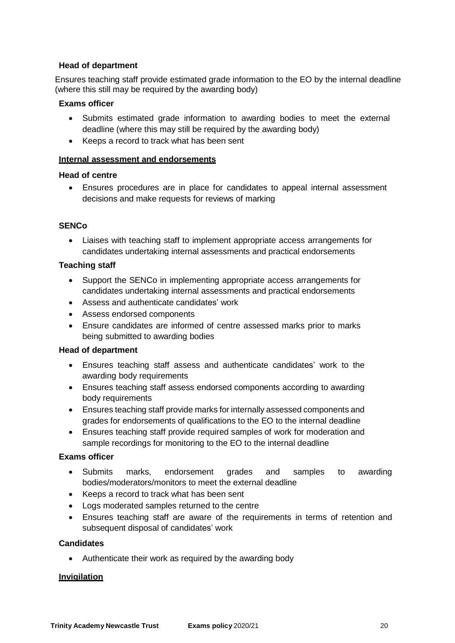# **Head of department**

Ensures teaching staff provide estimated grade information to the EO by the internal deadline (where this still may be required by the awarding body)

#### **Exams officer**

- Submits estimated grade information to awarding bodies to meet the external deadline (where this may still be required by the awarding body)
- Keeps a record to track what has been sent

#### **Internal assessment and endorsements**

#### **Head of centre**

 Ensures procedures are in place for candidates to appeal internal assessment decisions and make requests for reviews of marking

# **SENCo**

 Liaises with teaching staff to implement appropriate access arrangements for candidates undertaking internal assessments and practical endorsements

#### **Teaching staff**

- Support the SENCo in implementing appropriate access arrangements for candidates undertaking internal assessments and practical endorsements
- Assess and authenticate candidates' work
- Assess endorsed components
- Ensure candidates are informed of centre assessed marks prior to marks being submitted to awarding bodies

#### **Head of department**

- Ensures teaching staff assess and authenticate candidates' work to the awarding body requirements
- Ensures teaching staff assess endorsed components according to awarding body requirements
- Ensures teaching staff provide marks for internally assessed components and grades for endorsements of qualifications to the EO to the internal deadline
- Ensures teaching staff provide required samples of work for moderation and sample recordings for monitoring to the EO to the internal deadline

#### **Exams officer**

- Submits marks, endorsement grades and samples to awarding bodies/moderators/monitors to meet the external deadline
- Keeps a record to track what has been sent
- Logs moderated samples returned to the centre
- Ensures teaching staff are aware of the requirements in terms of retention and subsequent disposal of candidates' work

#### **Candidates**

• Authenticate their work as required by the awarding body

#### **Invigilation**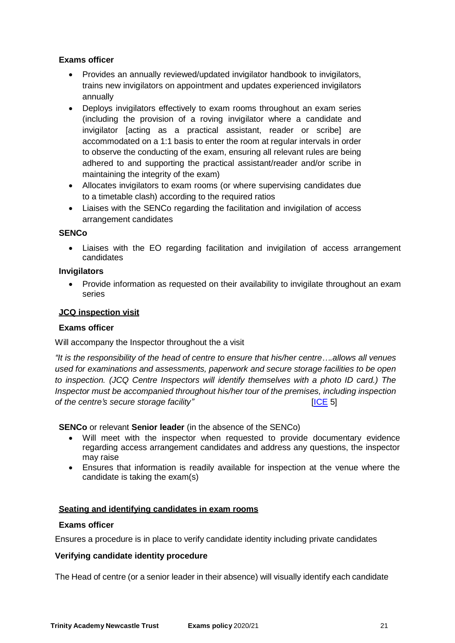# **Exams officer**

- Provides an annually reviewed/updated invigilator handbook to invigilators, trains new invigilators on appointment and updates experienced invigilators annually
- Deploys invigilators effectively to exam rooms throughout an exam series (including the provision of a roving invigilator where a candidate and invigilator [acting as a practical assistant, reader or scribe] are accommodated on a 1:1 basis to enter the room at regular intervals in order to observe the conducting of the exam, ensuring all relevant rules are being adhered to and supporting the practical assistant/reader and/or scribe in maintaining the integrity of the exam)
- Allocates invigilators to exam rooms (or where supervising candidates due to a timetable clash) according to the required ratios
- Liaises with the SENCo regarding the facilitation and invigilation of access arrangement candidates

# **SENCo**

 Liaises with the EO regarding facilitation and invigilation of access arrangement candidates

#### **Invigilators**

• Provide information as requested on their availability to invigilate throughout an exam series

#### **JCQ inspection visit**

#### **Exams officer**

Will accompany the Inspector throughout the a visit

*"It is the responsibility of the head of centre to ensure that his/her centre….allows all venues used for examinations and assessments, paperwork and secure storage facilities to be open to inspection. (JCQ Centre Inspectors will identify themselves with a photo ID card.) The Inspector must be accompanied throughout his/her tour of the premises, including inspection of the centre's secure storage facility"* [\[ICE](http://www.jcq.org.uk/exams-office/ice---instructions-for-conducting-examinations) 5]

**SENCo** or relevant **Senior leader** (in the absence of the SENCo)

- Will meet with the inspector when requested to provide documentary evidence regarding access arrangement candidates and address any questions, the inspector may raise
- Ensures that information is readily available for inspection at the venue where the candidate is taking the exam(s)

#### **Seating and identifying candidates in exam rooms**

# **Exams officer**

Ensures a procedure is in place to verify candidate identity including private candidates

# **Verifying candidate identity procedure**

The Head of centre (or a senior leader in their absence) will visually identify each candidate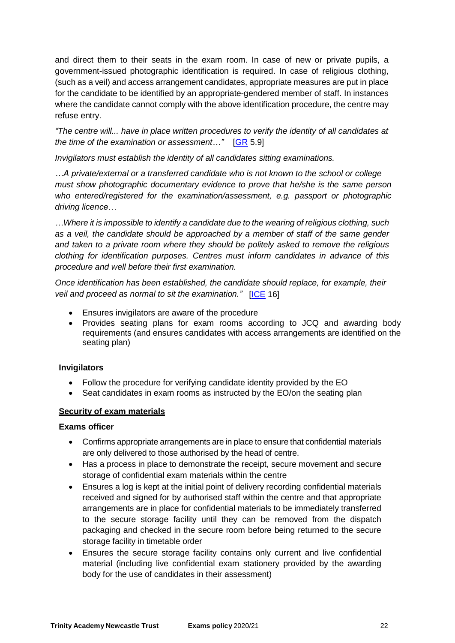and direct them to their seats in the exam room. In case of new or private pupils, a government-issued photographic identification is required. In case of religious clothing, (such as a veil) and access arrangement candidates, appropriate measures are put in place for the candidate to be identified by an appropriate-gendered member of staff. In instances where the candidate cannot comply with the above identification procedure, the centre may refuse entry.

*"The centre will... have in place written procedures to verify the identity of all candidates at the time of the examination or assessment…"* [\[GR](http://www.jcq.org.uk/exams-office/general-regulations) 5.9]

*Invigilators must establish the identity of all candidates sitting examinations.*

*…A private/external or a transferred candidate who is not known to the school or college must show photographic documentary evidence to prove that he/she is the same person who entered/registered for the examination/assessment, e.g. passport or photographic driving licence…*

*…Where it is impossible to identify a candidate due to the wearing of religious clothing, such as a veil, the candidate should be approached by a member of staff of the same gender and taken to a private room where they should be politely asked to remove the religious clothing for identification purposes. Centres must inform candidates in advance of this procedure and well before their first examination.*

*Once identification has been established, the candidate should replace, for example, their veil and proceed as normal to sit the examination."* [\[ICE](http://www.jcq.org.uk/exams-office/ice---instructions-for-conducting-examinations) 16]

- Ensures invigilators are aware of the procedure
- Provides seating plans for exam rooms according to JCQ and awarding body requirements (and ensures candidates with access arrangements are identified on the seating plan)

# **Invigilators**

- Follow the procedure for verifying candidate identity provided by the EO
- Seat candidates in exam rooms as instructed by the EO/on the seating plan

# **Security of exam materials**

- Confirms appropriate arrangements are in place to ensure that confidential materials are only delivered to those authorised by the head of centre.
- Has a process in place to demonstrate the receipt, secure movement and secure storage of confidential exam materials within the centre
- Ensures a log is kept at the initial point of delivery recording confidential materials received and signed for by authorised staff within the centre and that appropriate arrangements are in place for confidential materials to be immediately transferred to the secure storage facility until they can be removed from the dispatch packaging and checked in the secure room before being returned to the secure storage facility in timetable order
- Ensures the secure storage facility contains only current and live confidential material (including live confidential exam stationery provided by the awarding body for the use of candidates in their assessment)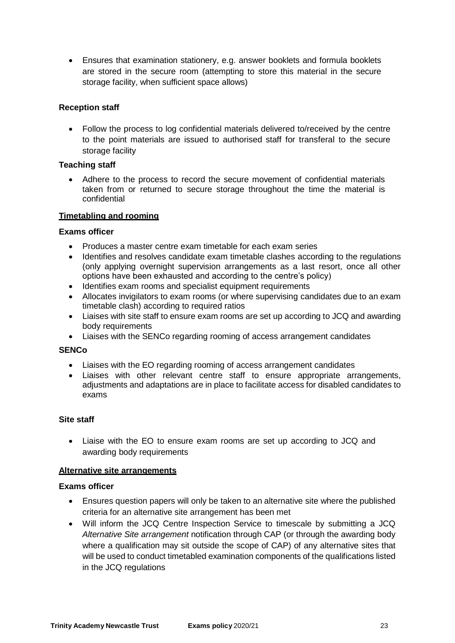Ensures that examination stationery, e.g. answer booklets and formula booklets are stored in the secure room (attempting to store this material in the secure storage facility, when sufficient space allows)

# **Reception staff**

 Follow the process to log confidential materials delivered to/received by the centre to the point materials are issued to authorised staff for transferal to the secure storage facility

# **Teaching staff**

 Adhere to the process to record the secure movement of confidential materials taken from or returned to secure storage throughout the time the material is confidential

# **Timetabling and rooming**

# **Exams officer**

- Produces a master centre exam timetable for each exam series
- Identifies and resolves candidate exam timetable clashes according to the regulations (only applying overnight supervision arrangements as a last resort, once all other options have been exhausted and according to the centre's policy)
- Identifies exam rooms and specialist equipment requirements
- Allocates invigilators to exam rooms (or where supervising candidates due to an exam timetable clash) according to required ratios
- Liaises with site staff to ensure exam rooms are set up according to JCQ and awarding body requirements
- Liaises with the SENCo regarding rooming of access arrangement candidates

# **SENCo**

- Liaises with the EO regarding rooming of access arrangement candidates
- Liaises with other relevant centre staff to ensure appropriate arrangements, adjustments and adaptations are in place to facilitate access for disabled candidates to exams

# **Site staff**

 Liaise with the EO to ensure exam rooms are set up according to JCQ and awarding body requirements

# **Alternative site arrangements**

- Ensures question papers will only be taken to an alternative site where the published criteria for an alternative site arrangement has been met
- Will inform the JCQ Centre Inspection Service to timescale by submitting a JCQ *Alternative Site arrangement* notification through CAP (or through the awarding body where a qualification may sit outside the scope of CAP) of any alternative sites that will be used to conduct timetabled examination components of the qualifications listed in the JCQ regulations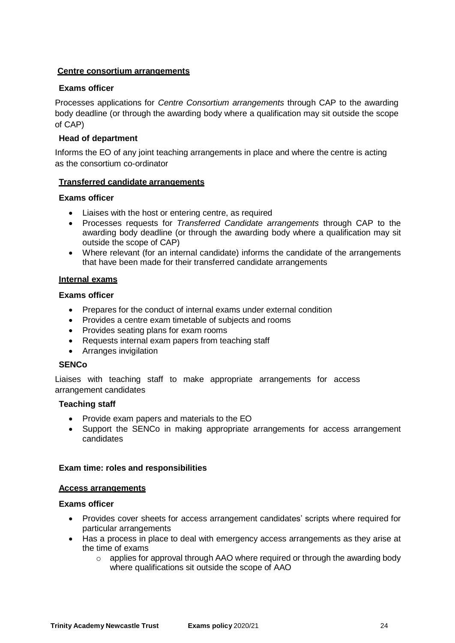# **Centre consortium arrangements**

# **Exams officer**

Processes applications for *Centre Consortium arrangements* through CAP to the awarding body deadline (or through the awarding body where a qualification may sit outside the scope of CAP)

#### **Head of department**

Informs the EO of any joint teaching arrangements in place and where the centre is acting as the consortium co-ordinator

#### **Transferred candidate arrangements**

#### **Exams officer**

- Liaises with the host or entering centre, as required
- Processes requests for *Transferred Candidate arrangements* through CAP to the awarding body deadline (or through the awarding body where a qualification may sit outside the scope of CAP)
- Where relevant (for an internal candidate) informs the candidate of the arrangements that have been made for their transferred candidate arrangements

#### **Internal exams**

#### **Exams officer**

- Prepares for the conduct of internal exams under external condition
- Provides a centre exam timetable of subjects and rooms
- Provides seating plans for exam rooms
- Requests internal exam papers from teaching staff
- Arranges invigilation

#### **SENCo**

Liaises with teaching staff to make appropriate arrangements for access arrangement candidates

#### **Teaching staff**

- Provide exam papers and materials to the EO
- Support the SENCo in making appropriate arrangements for access arrangement candidates

#### **Exam time: roles and responsibilities**

#### **Access arrangements**

- Provides cover sheets for access arrangement candidates' scripts where required for particular arrangements
- Has a process in place to deal with emergency access arrangements as they arise at the time of exams
	- $\circ$  applies for approval through AAO where required or through the awarding body where qualifications sit outside the scope of AAO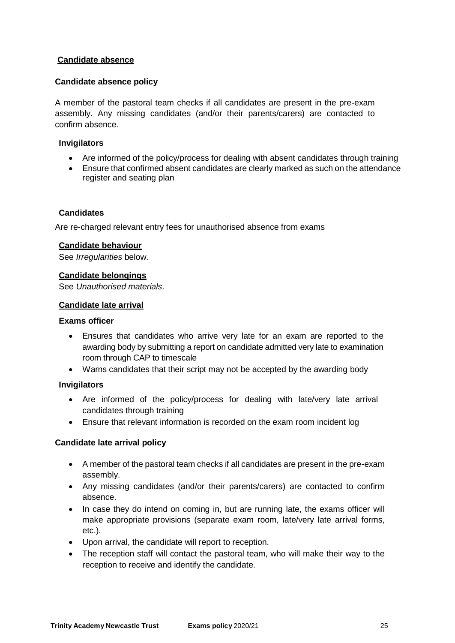# **Candidate absence**

# **Candidate absence policy**

A member of the pastoral team checks if all candidates are present in the pre-exam assembly. Any missing candidates (and/or their parents/carers) are contacted to confirm absence.

# **Invigilators**

- Are informed of the policy/process for dealing with absent candidates through training
- Ensure that confirmed absent candidates are clearly marked as such on the attendance register and seating plan

# **Candidates**

Are re-charged relevant entry fees for unauthorised absence from exams

# **Candidate behaviour**

See *Irregularities* below.

# **Candidate belongings**

See *Unauthorised materials*.

# **Candidate late arrival**

#### **Exams officer**

- Ensures that candidates who arrive very late for an exam are reported to the awarding body by submitting a report on candidate admitted very late to examination room through CAP to timescale
- Warns candidates that their script may not be accepted by the awarding body

# **Invigilators**

- Are informed of the policy/process for dealing with late/very late arrival candidates through training
- Ensure that relevant information is recorded on the exam room incident log

# **Candidate late arrival policy**

- A member of the pastoral team checks if all candidates are present in the pre-exam assembly.
- Any missing candidates (and/or their parents/carers) are contacted to confirm absence.
- In case they do intend on coming in, but are running late, the exams officer will make appropriate provisions (separate exam room, late/very late arrival forms, etc.).
- Upon arrival, the candidate will report to reception.
- The reception staff will contact the pastoral team, who will make their way to the reception to receive and identify the candidate.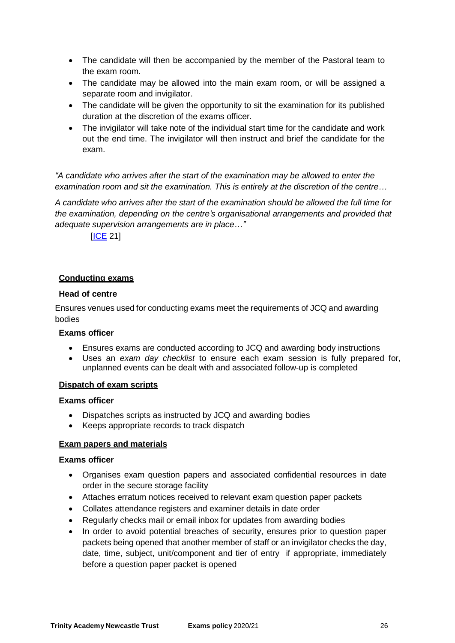- The candidate will then be accompanied by the member of the Pastoral team to the exam room.
- The candidate may be allowed into the main exam room, or will be assigned a separate room and invigilator.
- The candidate will be given the opportunity to sit the examination for its published duration at the discretion of the exams officer.
- The invigilator will take note of the individual start time for the candidate and work out the end time. The invigilator will then instruct and brief the candidate for the exam.

*"A candidate who arrives after the start of the examination may be allowed to enter the examination room and sit the examination. This is entirely at the discretion of the centre…*

*A candidate who arrives after the start of the examination should be allowed the full time for the examination, depending on the centre's organisational arrangements and provided that adequate supervision arrangements are in place…"*

[\[ICE](http://www.jcq.org.uk/exams-office/ice---instructions-for-conducting-examinations) 21]

# **Conducting exams**

# **Head of centre**

Ensures venues used for conducting exams meet the requirements of JCQ and awarding bodies

# **Exams officer**

- Ensures exams are conducted according to JCQ and awarding body instructions
- Uses an *exam day checklist* to ensure each exam session is fully prepared for, unplanned events can be dealt with and associated follow-up is completed

# **Dispatch of exam scripts**

# **Exams officer**

- Dispatches scripts as instructed by JCQ and awarding bodies
- Keeps appropriate records to track dispatch

# **Exam papers and materials**

- Organises exam question papers and associated confidential resources in date order in the secure storage facility
- Attaches erratum notices received to relevant exam question paper packets
- Collates attendance registers and examiner details in date order
- Regularly checks mail or email inbox for updates from awarding bodies
- In order to avoid potential breaches of security, ensures prior to question paper packets being opened that another member of staff or an invigilator checks the day, date, time, subject, unit/component and tier of entry if appropriate, immediately before a question paper packet is opened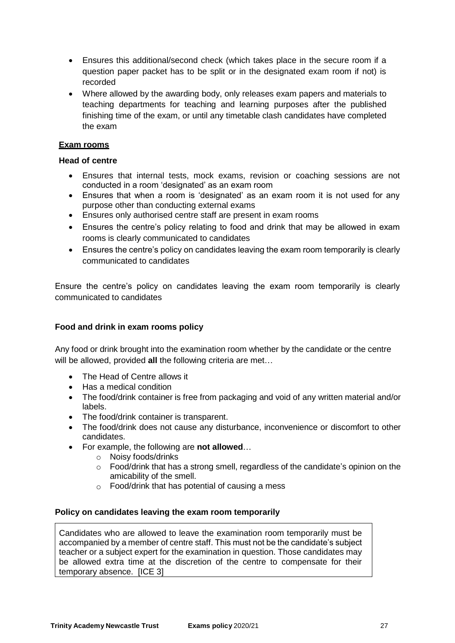- Ensures this additional/second check (which takes place in the secure room if a question paper packet has to be split or in the designated exam room if not) is recorded
- Where allowed by the awarding body, only releases exam papers and materials to teaching departments for teaching and learning purposes after the published finishing time of the exam, or until any timetable clash candidates have completed the exam

# **Exam rooms**

#### **Head of centre**

- Ensures that internal tests, mock exams, revision or coaching sessions are not conducted in a room 'designated' as an exam room
- Ensures that when a room is 'designated' as an exam room it is not used for any purpose other than conducting external exams
- Ensures only authorised centre staff are present in exam rooms
- Ensures the centre's policy relating to food and drink that may be allowed in exam rooms is clearly communicated to candidates
- Ensures the centre's policy on candidates leaving the exam room temporarily is clearly communicated to candidates

Ensure the centre's policy on candidates leaving the exam room temporarily is clearly communicated to candidates

# **Food and drink in exam rooms policy**

Any food or drink brought into the examination room whether by the candidate or the centre will be allowed, provided **all** the following criteria are met…

- The Head of Centre allows it
- Has a medical condition
- The food/drink container is free from packaging and void of any written material and/or labels.
- The food/drink container is transparent.
- The food/drink does not cause any disturbance, inconvenience or discomfort to other candidates.
- For example, the following are **not allowed**…
	- o Noisy foods/drinks
	- o Food/drink that has a strong smell, regardless of the candidate's opinion on the amicability of the smell.
	- $\circ$  Food/drink that has potential of causing a mess

# **Policy on candidates leaving the exam room temporarily**

Candidates who are allowed to leave the examination room temporarily must be accompanied by a member of centre staff. This must not be the candidate's subject teacher or a subject expert for the examination in question. Those candidates may be allowed extra time at the discretion of the centre to compensate for their temporary absence. [\[ICE](http://www.jcq.org.uk/exams-office/ice---instructions-for-conducting-examinations) 3]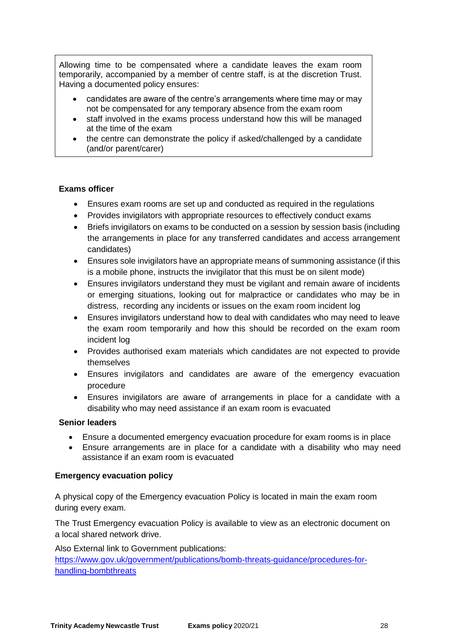Allowing time to be compensated where a candidate leaves the exam room temporarily, accompanied by a member of centre staff, is at the discretion Trust. Having a documented policy ensures:

- candidates are aware of the centre's arrangements where time may or may not be compensated for any temporary absence from the exam room
- staff involved in the exams process understand how this will be managed at the time of the exam
- the centre can demonstrate the policy if asked/challenged by a candidate (and/or parent/carer)

# **Exams officer**

- Ensures exam rooms are set up and conducted as required in the regulations
- Provides invigilators with appropriate resources to effectively conduct exams
- Briefs invigilators on exams to be conducted on a session by session basis (including the arrangements in place for any transferred candidates and access arrangement candidates)
- Ensures sole invigilators have an appropriate means of summoning assistance (if this is a mobile phone, instructs the invigilator that this must be on silent mode)
- Ensures invigilators understand they must be vigilant and remain aware of incidents or emerging situations, looking out for malpractice or candidates who may be in distress, recording any incidents or issues on the exam room incident log
- Ensures invigilators understand how to deal with candidates who may need to leave the exam room temporarily and how this should be recorded on the exam room incident log
- Provides authorised exam materials which candidates are not expected to provide themselves
- Ensures invigilators and candidates are aware of the emergency evacuation procedure
- Ensures invigilators are aware of arrangements in place for a candidate with a disability who may need assistance if an exam room is evacuated

# **Senior leaders**

- Ensure a documented emergency evacuation procedure for exam rooms is in place
- Ensure arrangements are in place for a candidate with a disability who may need assistance if an exam room is evacuated

# **Emergency evacuation policy**

A physical copy of the Emergency evacuation Policy is located in main the exam room during every exam.

The Trust Emergency evacuation Policy is available to view as an electronic document on a local shared network drive.

Also External link to Government publications: [https://www.gov.uk/government/publications/bomb-threats-guidance/procedures-for](https://www.gov.uk/government/publications/bomb-threats-guidance/procedures-for-handling-bombthreats)[handling-bombthreats](https://www.gov.uk/government/publications/bomb-threats-guidance/procedures-for-handling-bombthreats)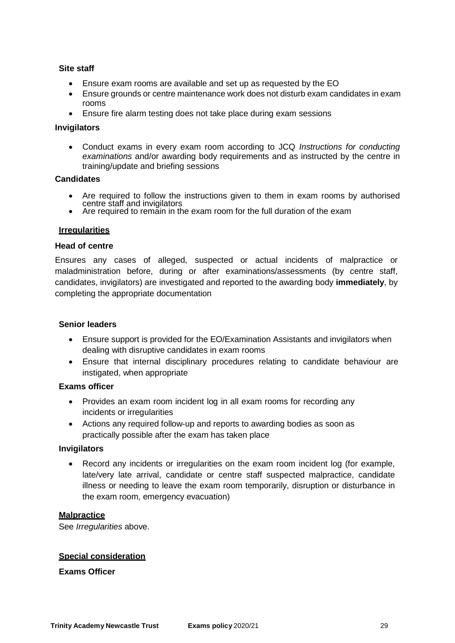# **Site staff**

- Ensure exam rooms are available and set up as requested by the EO
- Ensure grounds or centre maintenance work does not disturb exam candidates in exam rooms
- Ensure fire alarm testing does not take place during exam sessions

#### **Invigilators**

 Conduct exams in every exam room according to JCQ *Instructions for conducting examinations* and/or awarding body requirements and as instructed by the centre in training/update and briefing sessions

#### **Candidates**

- Are required to follow the instructions given to them in exam rooms by authorised centre staff and invigilators
- Are required to remain in the exam room for the full duration of the exam

#### **Irregularities**

#### **Head of centre**

Ensures any cases of alleged, suspected or actual incidents of malpractice or maladministration before, during or after examinations/assessments (by centre staff, candidates, invigilators) are investigated and reported to the awarding body **immediately**, by completing the appropriate documentation

#### **Senior leaders**

- Ensure support is provided for the EO/Examination Assistants and invigilators when dealing with disruptive candidates in exam rooms
- Ensure that internal disciplinary procedures relating to candidate behaviour are instigated, when appropriate

#### **Exams officer**

- Provides an exam room incident log in all exam rooms for recording any incidents or irregularities
- Actions any required follow-up and reports to awarding bodies as soon as practically possible after the exam has taken place

#### **Invigilators**

 Record any incidents or irregularities on the exam room incident log (for example, late/very late arrival, candidate or centre staff suspected malpractice, candidate illness or needing to leave the exam room temporarily, disruption or disturbance in the exam room, emergency evacuation)

#### **Malpractice**

See *Irregularities* above.

# **Special consideration**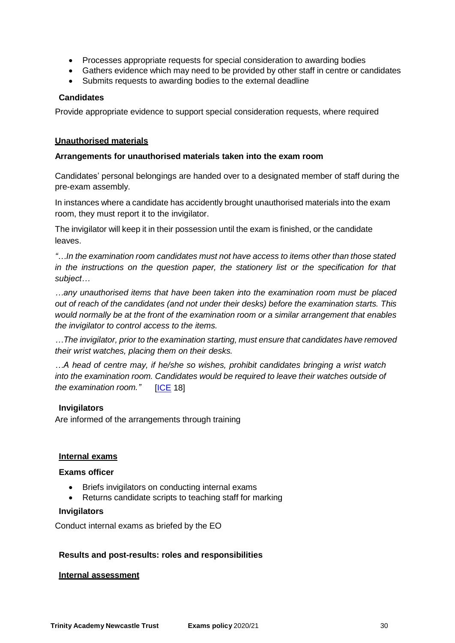- Processes appropriate requests for special consideration to awarding bodies
- Gathers evidence which may need to be provided by other staff in centre or candidates
- Submits requests to awarding bodies to the external deadline

# **Candidates**

Provide appropriate evidence to support special consideration requests, where required

#### **Unauthorised materials**

#### **Arrangements for unauthorised materials taken into the exam room**

Candidates' personal belongings are handed over to a designated member of staff during the pre-exam assembly.

In instances where a candidate has accidently brought unauthorised materials into the exam room, they must report it to the invigilator.

The invigilator will keep it in their possession until the exam is finished, or the candidate leaves.

*"…In the examination room candidates must not have access to items other than those stated in the instructions on the question paper, the stationery list or the specification for that subject…*

*…any unauthorised items that have been taken into the examination room must be placed out of reach of the candidates (and not under their desks) before the examination starts. This would normally be at the front of the examination room or a similar arrangement that enables the invigilator to control access to the items.*

*…The invigilator, prior to the examination starting, must ensure that candidates have removed their wrist watches, placing them on their desks.*

*…A head of centre may, if he/she so wishes, prohibit candidates bringing a wrist watch into the examination room. Candidates would be required to leave their watches outside of the examination room."* [\[ICE](http://www.jcq.org.uk/exams-office/ice---instructions-for-conducting-examinations) 18]

# **Invigilators**

Are informed of the arrangements through training

#### **Internal exams**

# **Exams officer**

- Briefs invigilators on conducting internal exams
- Returns candidate scripts to teaching staff for marking

#### **Invigilators**

Conduct internal exams as briefed by the EO

# **Results and post-results: roles and responsibilities**

#### **Internal assessment**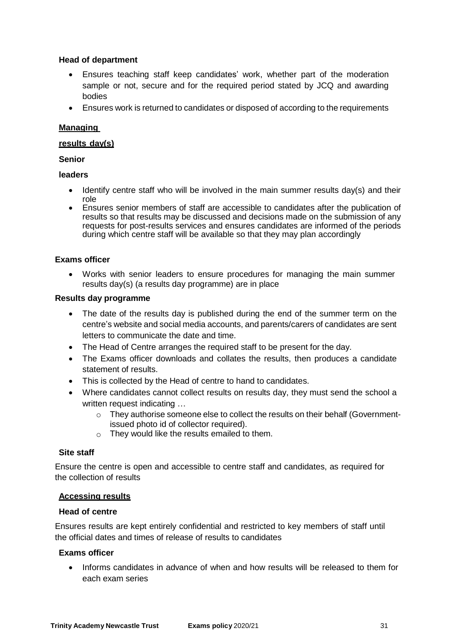# **Head of department**

- Ensures teaching staff keep candidates' work, whether part of the moderation sample or not, secure and for the required period stated by JCQ and awarding bodies
- Ensures work is returned to candidates or disposed of according to the requirements

# **Managing**

#### **results day(s)**

**Senior**

#### **leaders**

- $\bullet$  Identify centre staff who will be involved in the main summer results day(s) and their role
- Ensures senior members of staff are accessible to candidates after the publication of results so that results may be discussed and decisions made on the submission of any requests for post-results services and ensures candidates are informed of the periods during which centre staff will be available so that they may plan accordingly

# **Exams officer**

 Works with senior leaders to ensure procedures for managing the main summer results day(s) (a results day programme) are in place

#### **Results day programme**

- The date of the results day is published during the end of the summer term on the centre's website and social media accounts, and parents/carers of candidates are sent letters to communicate the date and time.
- The Head of Centre arranges the required staff to be present for the day.
- The Exams officer downloads and collates the results, then produces a candidate statement of results.
- This is collected by the Head of centre to hand to candidates.
- Where candidates cannot collect results on results day, they must send the school a written request indicating …
	- o They authorise someone else to collect the results on their behalf (Governmentissued photo id of collector required).
	- o They would like the results emailed to them.

# **Site staff**

Ensure the centre is open and accessible to centre staff and candidates, as required for the collection of results

#### **Accessing results**

# **Head of centre**

Ensures results are kept entirely confidential and restricted to key members of staff until the official dates and times of release of results to candidates

# **Exams officer**

 Informs candidates in advance of when and how results will be released to them for each exam series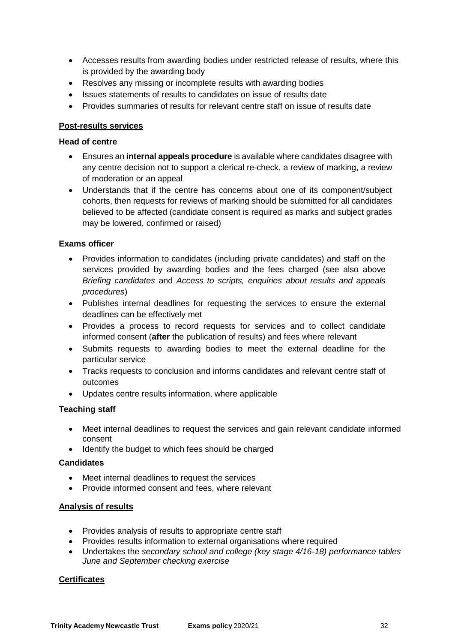- Accesses results from awarding bodies under restricted release of results, where this is provided by the awarding body
- Resolves any missing or incomplete results with awarding bodies
- Issues statements of results to candidates on issue of results date
- Provides summaries of results for relevant centre staff on issue of results date

# **Post-results services**

# **Head of centre**

- Ensures an **internal appeals procedure** is available where candidates disagree with any centre decision not to support a clerical re-check, a review of marking, a review of moderation or an appeal
- Understands that if the centre has concerns about one of its component/subject cohorts, then requests for reviews of marking should be submitted for all candidates believed to be affected (candidate consent is required as marks and subject grades may be lowered, confirmed or raised)

# **Exams officer**

- Provides information to candidates (including private candidates) and staff on the services provided by awarding bodies and the fees charged (see also above *Briefing candidates* and *Access to scripts, enquiries about results and appeals procedures*)
- Publishes internal deadlines for requesting the services to ensure the external deadlines can be effectively met
- Provides a process to record requests for services and to collect candidate informed consent (**after** the publication of results) and fees where relevant
- Submits requests to awarding bodies to meet the external deadline for the particular service
- Tracks requests to conclusion and informs candidates and relevant centre staff of outcomes
- Updates centre results information, where applicable

# **Teaching staff**

- Meet internal deadlines to request the services and gain relevant candidate informed consent
- Identify the budget to which fees should be charged

# **Candidates**

- Meet internal deadlines to request the services
- Provide informed consent and fees, where relevant

# **Analysis of results**

- Provides analysis of results to appropriate centre staff
- Provides results information to external organisations where required
- Undertakes the *secondary school and college (key stage 4/16-18) performance tables June and September checking exercise*

# **Certificates**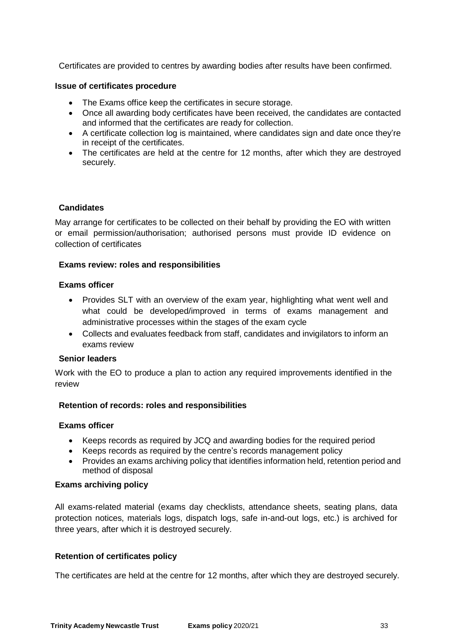Certificates are provided to centres by awarding bodies after results have been confirmed.

#### **Issue of certificates procedure**

- The Exams office keep the certificates in secure storage.
- Once all awarding body certificates have been received, the candidates are contacted and informed that the certificates are ready for collection.
- A certificate collection log is maintained, where candidates sign and date once they're in receipt of the certificates.
- The certificates are held at the centre for 12 months, after which they are destroyed securely.

# **Candidates**

May arrange for certificates to be collected on their behalf by providing the EO with written or email permission/authorisation; authorised persons must provide ID evidence on collection of certificates

#### **Exams review: roles and responsibilities**

#### **Exams officer**

- Provides SLT with an overview of the exam year, highlighting what went well and what could be developed/improved in terms of exams management and administrative processes within the stages of the exam cycle
- Collects and evaluates feedback from staff, candidates and invigilators to inform an exams review

#### **Senior leaders**

Work with the EO to produce a plan to action any required improvements identified in the review

# **Retention of records: roles and responsibilities**

#### **Exams officer**

- Keeps records as required by JCQ and awarding bodies for the required period
- Keeps records as required by the centre's records management policy
- Provides an exams archiving policy that identifies information held, retention period and method of disposal

#### **Exams archiving policy**

All exams-related material (exams day checklists, attendance sheets, seating plans, data protection notices, materials logs, dispatch logs, safe in-and-out logs, etc.) is archived for three years, after which it is destroyed securely.

#### **Retention of certificates policy**

The certificates are held at the centre for 12 months, after which they are destroyed securely.